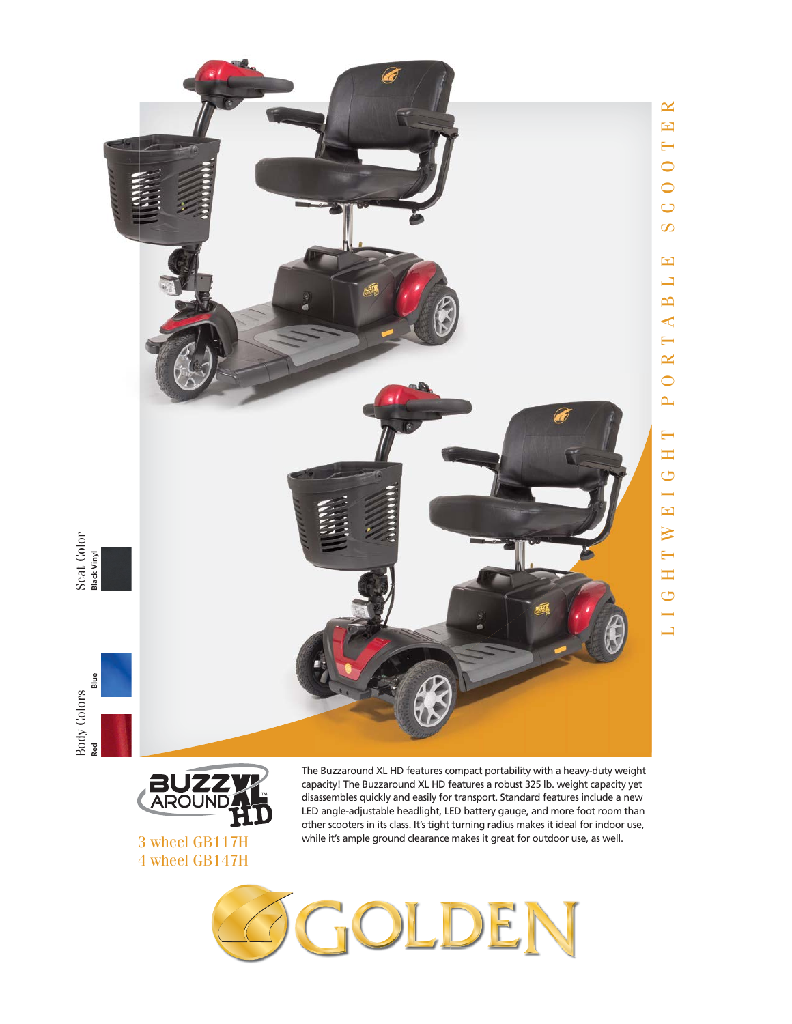

Seat Color<br>Black Vinyl





3 wheel GB117H 4 wheel GB147H

The Buzzaround XL HD features compact portability with a heavy-duty weight capacity! The Buzzaround XL HD features a robust 325 lb. weight capacity yet disassembles quickly and easily for transport. Standard features include a new LED angle-adjustable headlight, LED battery gauge, and more foot room than other scooters in its class. It's tight turning radius makes it ideal for indoor use, while it's ample ground clearance makes it great for outdoor use, as well.